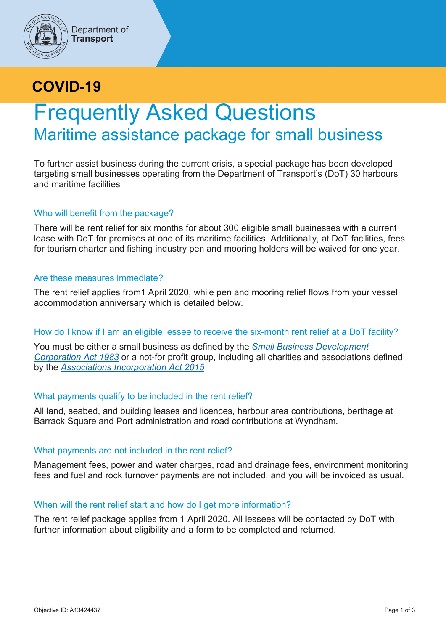

# **COVID-19**

# Frequently Asked Questions Maritime assistance package for small business

To further assist business during the current crisis, a special package has been developed targeting small businesses operating from the Department of Transport's (DoT) 30 harbours and maritime facilities

# Who will benefit from the package?

There will be rent relief for six months for about 300 eligible small businesses with a current lease with DoT for premises at one of its maritime facilities. Additionally, at DoT facilities, fees for tourism charter and fishing industry pen and mooring holders will be waived for one year.

# Are these measures immediate?

The rent relief applies from1 April 2020, while pen and mooring relief flows from your vessel accommodation anniversary which is detailed below.

# How do I know if I am an eligible lessee to receive the six-month rent relief at a DoT facility?

You must be either a small business as defined by the *[Small Business Development](https://www.legislation.wa.gov.au/legislation/statutes.nsf/main_mrtitle_897_homepage.html)  [Corporation Act 1983](https://www.legislation.wa.gov.au/legislation/statutes.nsf/main_mrtitle_897_homepage.html)* or a not-for profit group, including all charities and associations defined by the *[Associations Incorporation Act 2015](https://www.legislation.wa.gov.au/legislation/statutes.nsf/main_mrtitle_13715_homepage.html)*

# What payments qualify to be included in the rent relief?

All land, seabed, and building leases and licences, harbour area contributions, berthage at Barrack Square and Port administration and road contributions at Wyndham.

# What payments are not included in the rent relief?

Management fees, power and water charges, road and drainage fees, environment monitoring fees and fuel and rock turnover payments are not included, and you will be invoiced as usual.

# When will the rent relief start and how do I get more information?

The rent relief package applies from 1 April 2020. All lessees will be contacted by DoT with further information about eligibility and a form to be completed and returned.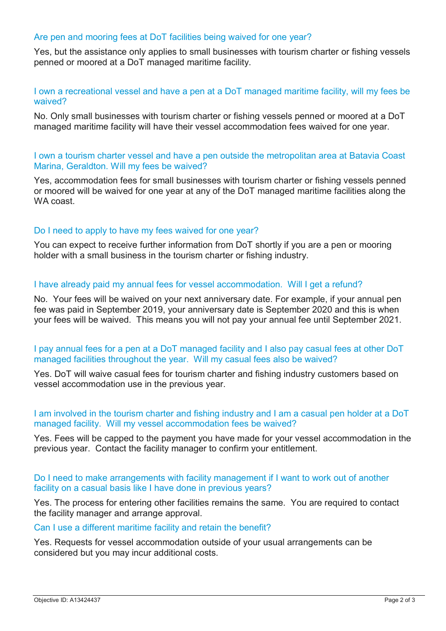#### Are pen and mooring fees at DoT facilities being waived for one year?

Yes, but the assistance only applies to small businesses with tourism charter or fishing vessels penned or moored at a DoT managed maritime facility.

#### I own a recreational vessel and have a pen at a DoT managed maritime facility, will my fees be waived?

No. Only small businesses with tourism charter or fishing vessels penned or moored at a DoT managed maritime facility will have their vessel accommodation fees waived for one year.

#### I own a tourism charter vessel and have a pen outside the metropolitan area at Batavia Coast Marina, Geraldton. Will my fees be waived?

Yes, accommodation fees for small businesses with tourism charter or fishing vessels penned or moored will be waived for one year at any of the DoT managed maritime facilities along the WA coast.

#### Do I need to apply to have my fees waived for one year?

You can expect to receive further information from DoT shortly if you are a pen or mooring holder with a small business in the tourism charter or fishing industry.

#### I have already paid my annual fees for vessel accommodation. Will I get a refund?

No. Your fees will be waived on your next anniversary date. For example, if your annual pen fee was paid in September 2019, your anniversary date is September 2020 and this is when your fees will be waived. This means you will not pay your annual fee until September 2021.

#### I pay annual fees for a pen at a DoT managed facility and I also pay casual fees at other DoT managed facilities throughout the year. Will my casual fees also be waived?

Yes. DoT will waive casual fees for tourism charter and fishing industry customers based on vessel accommodation use in the previous year.

#### I am involved in the tourism charter and fishing industry and I am a casual pen holder at a DoT managed facility. Will my vessel accommodation fees be waived?

Yes. Fees will be capped to the payment you have made for your vessel accommodation in the previous year. Contact the facility manager to confirm your entitlement.

#### Do I need to make arrangements with facility management if I want to work out of another facility on a casual basis like I have done in previous years?

Yes. The process for entering other facilities remains the same. You are required to contact the facility manager and arrange approval.

#### Can I use a different maritime facility and retain the benefit?

Yes. Requests for vessel accommodation outside of your usual arrangements can be considered but you may incur additional costs.